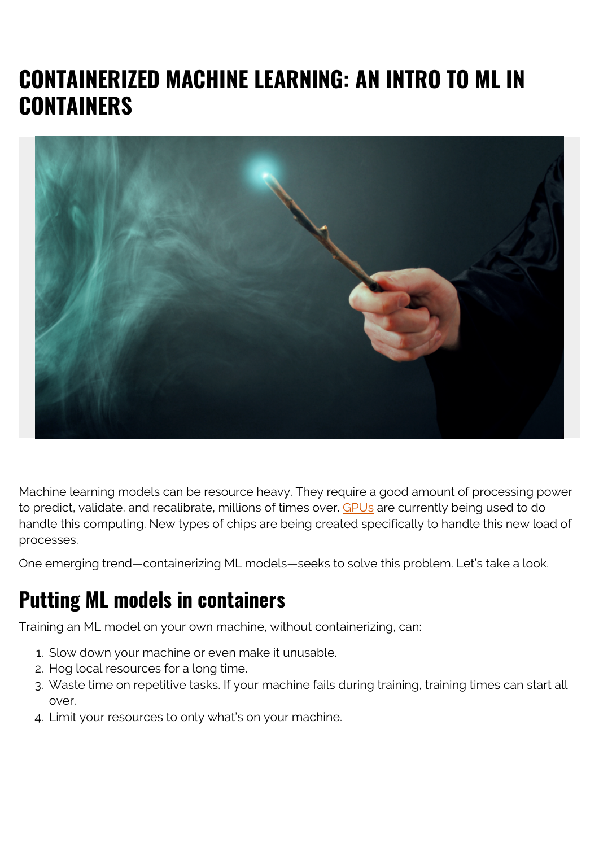# **CONTAINERIZED MACHINE LEARNING: AN INTRO TO ML IN CONTAINERS**



Machine learning models can be resource heavy. They require a good amount of processing power to predict, validate, and recalibrate, millions of times over. [GPUs](https://blogs.bmc.com/blogs/using-gpus-graphical-processing-units-for-machine-learning/) are currently being used to do handle this computing. New types of chips are being created specifically to handle this new load of processes.

One emerging trend—containerizing ML models—seeks to solve this problem. Let's take a look.

### **Putting ML models in containers**

Training an ML model on your own machine, without containerizing, can:

- 1. Slow down your machine or even make it unusable.
- 2. Hog local resources for a long time.
- 3. Waste time on repetitive tasks. If your machine fails during training, training times can start all over.
- 4. Limit your resources to only what's on your machine.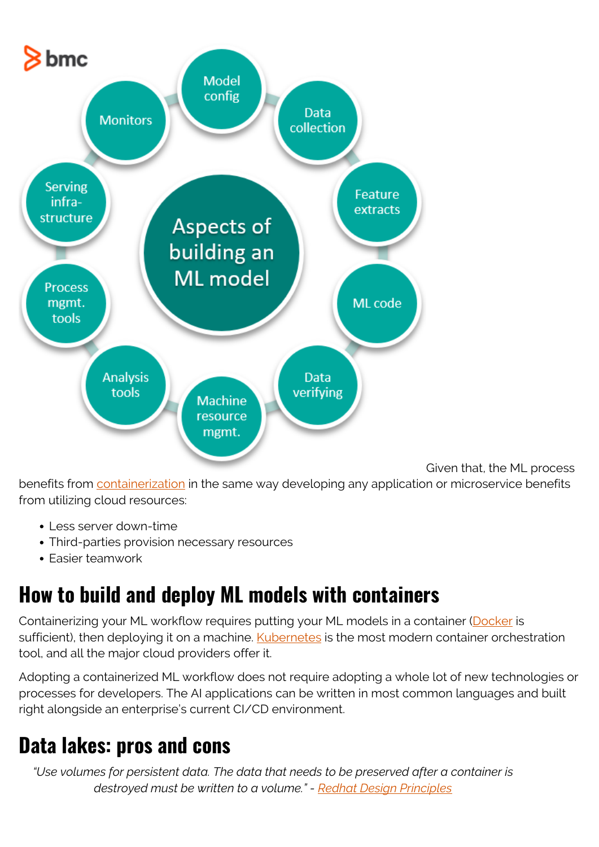

Given that, the ML process

benefits from [containerization](https://blogs.bmc.com/blogs/what-is-a-container-containerization-explained/) in the same way developing any application or microservice benefits from utilizing cloud resources:

- Less server down-time
- Third-parties provision necessary resources
- Easier teamwork

## **How to build and deploy ML models with containers**

Containerizing your ML workflow requires putting your ML models in a container ([Docker](https://blogs.bmc.com/blogs/3-steps-to-introduce-docker-containers-in-enterprise/) is sufficient), then deploying it on a machine. [Kubernetes](https://www.bmc.com/blogs/what-is-kubernetes/) is the most modern container orchestration tool, and all the major cloud providers offer it.

Adopting a containerized ML workflow does not require adopting a whole lot of new technologies or processes for developers. The AI applications can be written in most common languages and built right alongside an enterprise's current CI/CD environment.

#### **Data lakes: pros and cons**

*"Use volumes for persistent data. The data that needs to be preserved after a container is destroyed must be written to a volume." - [Redhat Design Principles](https://www.redhat.com/en/resources/cloud-native-container-design-whitepaper)*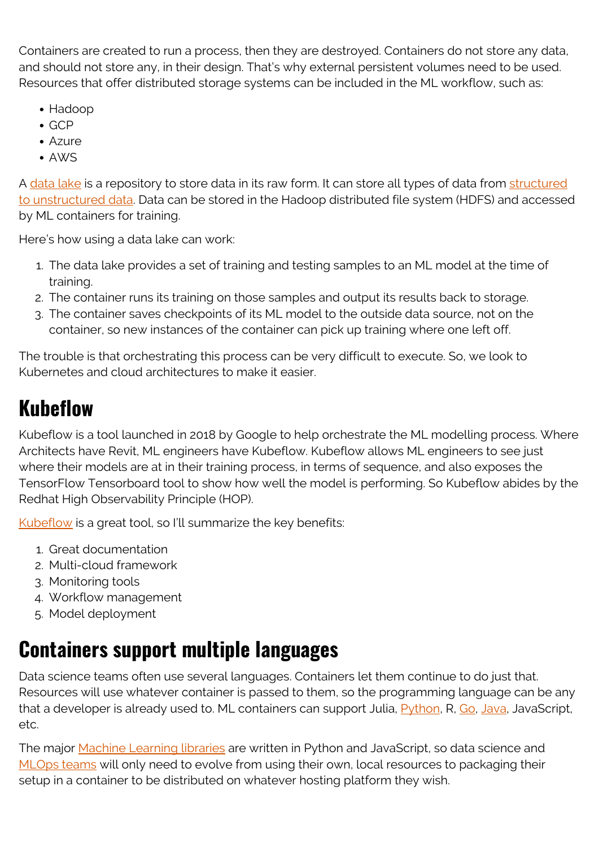Containers are created to run a process, then they are destroyed. Containers do not store any data, and should not store any, in their design. That's why external persistent volumes need to be used. Resources that offer distributed storage systems can be included in the ML workflow, such as:

- Hadoop
- GCP
- Azure
- AWS

A [data lake](https://blogs.bmc.com/blogs/data-lake-vs-data-warehouse-vs-database-whats-the-difference/) is a repository to store data in its raw form. It can store all types of data from [structured](https://blogs.bmc.com/blogs/structured-vs-unstructured-data/) [to unstructured data](https://blogs.bmc.com/blogs/structured-vs-unstructured-data/). Data can be stored in the Hadoop distributed file system (HDFS) and accessed by ML containers for training.

Here's how using a data lake can work:

- 1. The data lake provides a set of training and testing samples to an ML model at the time of training.
- 2. The container runs its training on those samples and output its results back to storage.
- 3. The container saves checkpoints of its ML model to the outside data source, not on the container, so new instances of the container can pick up training where one left off.

The trouble is that orchestrating this process can be very difficult to execute. So, we look to Kubernetes and cloud architectures to make it easier.

## **Kubeflow**

Kubeflow is a tool launched in 2018 by Google to help orchestrate the ML modelling process. Where Architects have Revit, ML engineers have Kubeflow. Kubeflow allows ML engineers to see just where their models are at in their training process, in terms of sequence, and also exposes the TensorFlow Tensorboard tool to show how well the model is performing. So Kubeflow abides by the Redhat High Observability Principle (HOP).

[Kubeflow](https://blogs.bmc.com/blogs/kubeflow/) is a great tool, so I'll summarize the key benefits:

- 1. Great documentation
- 2. Multi-cloud framework
- 3. Monitoring tools
- 4. Workflow management
- 5. Model deployment

### **Containers support multiple languages**

Data science teams often use several languages. Containers let them continue to do just that. Resources will use whatever container is passed to them, so the programming language can be any that a developer is already used to. ML containers can support Julia, [Python](https://blogs.bmc.com/blogs/python-vs-java/), R, [Go,](https://www.bmc.com/blogs/go-vs-python/) [Java,](https://blogs.bmc.com/blogs/state-of-java/) JavaScript, etc.

The major [Machine Learning libraries](https://blogs.bmc.com/blogs/machine-learning-ai-frameworks/) are written in Python and JavaScript, so data science and [MLOps teams](https://blogs.bmc.com/blogs/mlops-machine-learning-ops/) will only need to evolve from using their own, local resources to packaging their setup in a container to be distributed on whatever hosting platform they wish.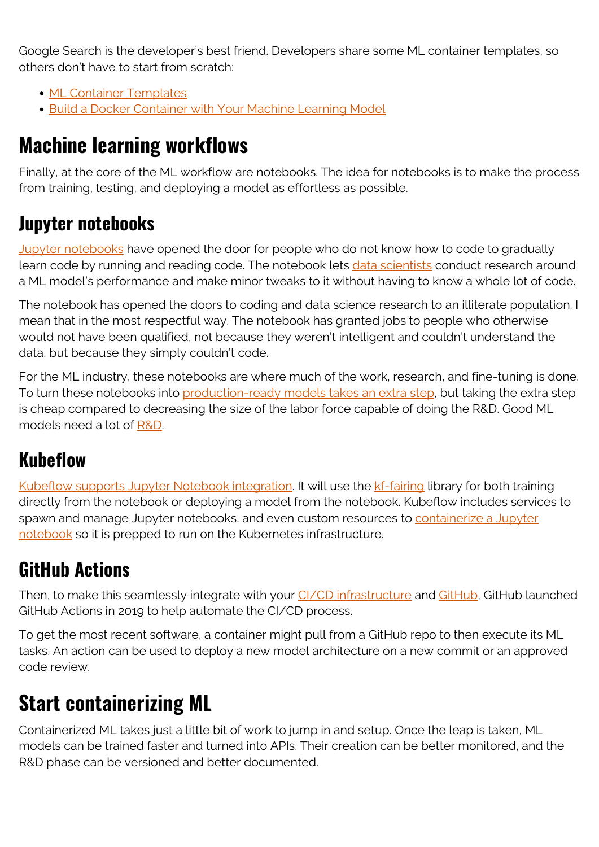Google Search is the developer's best friend. Developers share some ML container templates, so others don't have to start from scratch:

- [ML Container Templates](https://github.com/tonyreina/mlt)
- [Build a Docker Container with Your Machine Learning Model](https://towardsdatascience.com/build-a-docker-container-with-your-machine-learning-model-3cf906f5e07e)

### **Machine learning workflows**

Finally, at the core of the ML workflow are notebooks. The idea for notebooks is to make the process from training, testing, and deploying a model as effortless as possible.

#### **Jupyter notebooks**

[Jupyter notebooks](https://blogs.bmc.com/blogs/installing-jupyter-for-big-data-and-analytics/) have opened the door for people who do not know how to code to gradually learn code by running and reading code. The notebook lets [data scientists](https://blogs.bmc.com/blogs/data-engineer-vs-data-scientist/) conduct research around a ML model's performance and make minor tweaks to it without having to know a whole lot of code.

The notebook has opened the doors to coding and data science research to an illiterate population. I mean that in the most respectful way. The notebook has granted jobs to people who otherwise would not have been qualified, not because they weren't intelligent and couldn't understand the data, but because they simply couldn't code.

For the ML industry, these notebooks are where much of the work, research, and fine-tuning is done. To turn these notebooks into [production-ready models takes an extra step,](https://medium.com/@_orcaman/jupyter-notebook-is-the-cancer-of-ml-engineering-70b98685ee71) but taking the extra step is cheap compared to decreasing the size of the labor force capable of doing the R&D. Good ML models need a lot of [R&D.](https://blogs.bmc.com/blogs/innovation-r-and-d/)

#### **Kubeflow**

[Kubeflow supports Jupyter Notebook integration.](https://web.archive.org/web/20200915135656/https://www.kubeflow.org/docs/notebooks/why-use-jupyter-notebook/) It will use the [kf-fairing](https://github.com/kubeflow/fairing) library for both training directly from the notebook or deploying a model from the notebook. Kubeflow includes services to spawn and manage Jupyter notebooks, and even custom resources to [containerize a Jupyter](https://web.archive.org/web/20201021044329/https://www.kubeflow.org/docs/notebooks/custom-notebook/) [notebook](https://web.archive.org/web/20201021044329/https://www.kubeflow.org/docs/notebooks/custom-notebook/) so it is prepped to run on the Kubernetes infrastructure.

#### **GitHub Actions**

Then, to make this seamlessly integrate with your *CI/CD* infrastructure and [GitHub,](https://blogs.bmc.com/blogs/github-vs-gitlab-vs-bitbucket/) GitHub launched GitHub Actions in 2019 to help automate the CI/CD process.

To get the most recent software, a container might pull from a GitHub repo to then execute its ML tasks. An action can be used to deploy a new model architecture on a new commit or an approved code review.

## **Start containerizing ML**

Containerized ML takes just a little bit of work to jump in and setup. Once the leap is taken, ML models can be trained faster and turned into APIs. Their creation can be better monitored, and the R&D phase can be versioned and better documented.